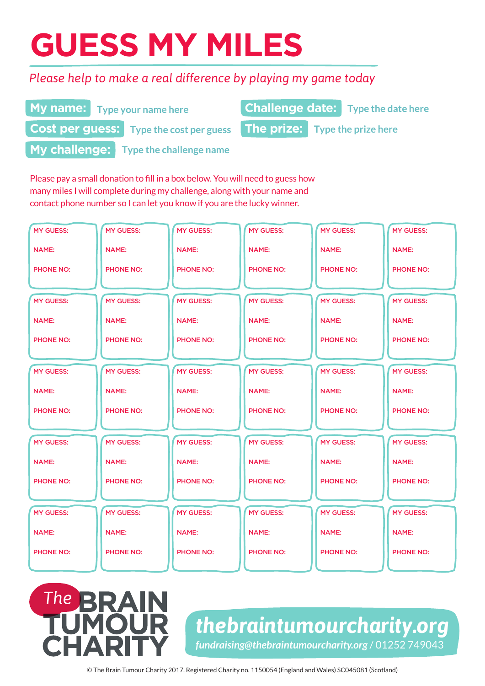# **GUESS MY MILES**

**My name:** Type your name here

**Cost per guess:** Type the cost per guess

## *Please help to make a real difference by playing my game today*

**Type your name here Type your name here Type the date here** 

**Type the cost per guess The prize:** Type the prize here



# The **BRAIN**

## *thebraintumourcharity.org fundraising@thebraintumourcharity.org* / 01252 749043

© The Brain Tumour Charity 2017. Registered Charity no. 1150054 (England and Wales) SC045081 (Scotland)